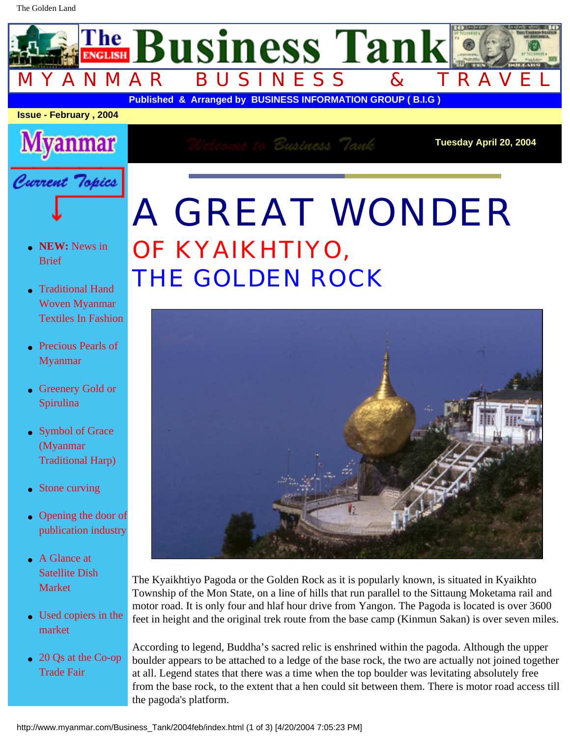## A GREAT WONDER OF KYAIKHTIYO, THE GOLDEN ROCK



The Kyaikhtiyo Pagoda or the Golden Rock as it is popularly known, is situated in Kyaikhto Township of the Mon State, on a line of hills that run parallel to the Sittaung Moketama rail and motor road. It is only four and hlaf hour drive from Yangon. The Pagoda is located is over 3600 feet in height and the original trek route from the base camp (Kinmun Sakan) is over seven miles.

 $\overline{ }$ 

According to legend, Buddha's sacred relic is enshrined within the pagoda. Although the upper boulder appears to be attached to a ledge of the base rock, the two are actually not joined together at all. Legend states that there was a time when the top boulder was levitating absolutely free from the base rock, to the extent that a hen could sit between them. There is motor road access till the pagoda's platform.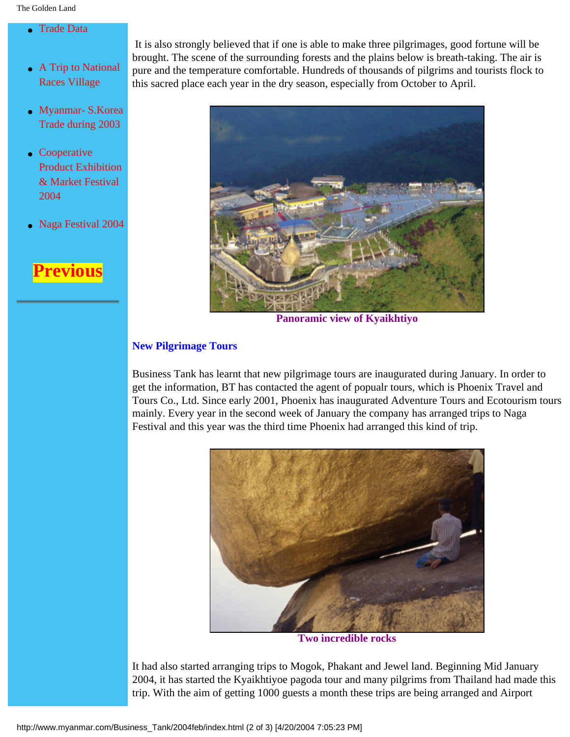It is also strongly believed that if one is able to make three pilgrimages, good fortune will be brought. The scene of the surrounding forests and the plains below is breath-taking. The air is pure and the temperature comfortable. Hundreds of thousands of pilgrims and tourists flock to this sacred place each year in the dry season, especially from October to April.



**Panoramic view of Kyaikhtiyo**

## **New Pilgrimage Tours**

Business Tank has learnt that new pilgrimage tours are inaugurated during January. In order to get the information, BT has contacted the agent of popualr tours, which is Phoenix Travel and Tours Co., Ltd. Since early 2001, Phoenix has inaugurated Adventure Tours and Ecotourism tours mainly. Every year in the second week of January the company has arranged trips to Naga Festival and this year was the third time Phoenix had arranged this kind of trip.



**Two incredible rocks**

It had also started arranging trips to Mogok, Phakant and Jewel land. Beginning Mid January 2004, it has started the Kyaikhtiyoe pagoda tour and many pilgrims from Thailand had made this trip. With the aim of getting 1000 guests a month these trips are being arranged and Airport